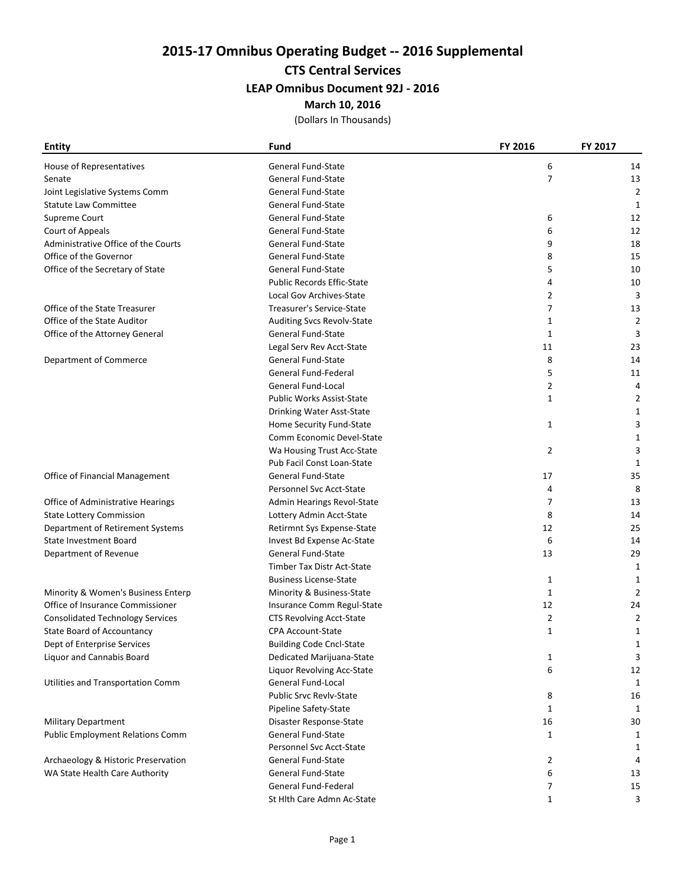# 2015-17 Omnibus Operating Budget -- 2016 Supplemental

## CTS Central Services

### LEAP Omnibus Document 92J - 2016

#### March 10, 2016

(Dollars In Thousands)

| <b>Entity</b>                           | Fund                              | FY 2016        | FY 2017     |
|-----------------------------------------|-----------------------------------|----------------|-------------|
| House of Representatives                | <b>General Fund-State</b>         | 6              | 14          |
| Senate                                  | <b>General Fund-State</b>         | 7              | 13          |
| Joint Legislative Systems Comm          | General Fund-State                |                | 2           |
| <b>Statute Law Committee</b>            | <b>General Fund-State</b>         |                | 1           |
| Supreme Court                           | General Fund-State                | 6              | 12          |
| Court of Appeals                        | General Fund-State                | 6              | 12          |
| Administrative Office of the Courts     | <b>General Fund-State</b>         | 9              | 18          |
| Office of the Governor                  | <b>General Fund-State</b>         | 8              | 15          |
| Office of the Secretary of State        | <b>General Fund-State</b>         | 5              | 10          |
|                                         | <b>Public Records Effic-State</b> | 4              | 10          |
|                                         | Local Gov Archives-State          | 2              | 3           |
| Office of the State Treasurer           | Treasurer's Service-State         | $\overline{7}$ | 13          |
| Office of the State Auditor             | Auditing Svcs Revolv-State        | 1              | 2           |
| Office of the Attorney General          | <b>General Fund-State</b>         | 1              | 3           |
|                                         | Legal Serv Rev Acct-State         | 11             | 23          |
| Department of Commerce                  | <b>General Fund-State</b>         | 8              | 14          |
|                                         | General Fund-Federal              | 5              | 11          |
|                                         | <b>General Fund-Local</b>         | $\overline{2}$ | 4           |
|                                         | <b>Public Works Assist-State</b>  | 1              | 2           |
|                                         | Drinking Water Asst-State         |                | 1           |
|                                         | Home Security Fund-State          | 1              | 3           |
|                                         | Comm Economic Devel-State         |                | 1           |
|                                         | Wa Housing Trust Acc-State        | $\overline{2}$ | 3           |
|                                         | Pub Facil Const Loan-State        |                | 1           |
| Office of Financial Management          | <b>General Fund-State</b>         | 17             | 35          |
|                                         | Personnel Svc Acct-State          | 4              | 8           |
| Office of Administrative Hearings       | Admin Hearings Revol-State        | 7              | 13          |
| <b>State Lottery Commission</b>         | Lottery Admin Acct-State          | 8              | 14          |
| Department of Retirement Systems        | Retirmnt Sys Expense-State        | 12             | 25          |
| <b>State Investment Board</b>           | Invest Bd Expense Ac-State        | 6              | 14          |
| Department of Revenue                   | <b>General Fund-State</b>         | 13             | 29          |
|                                         | Timber Tax Distr Act-State        |                | 1           |
|                                         | <b>Business License-State</b>     | 1              | 1           |
| Minority & Women's Business Enterp      | Minority & Business-State         | 1              | 2           |
| Office of Insurance Commissioner        | Insurance Comm Regul-State        | 12             | 24          |
| <b>Consolidated Technology Services</b> | <b>CTS Revolving Acct-State</b>   | 2              | 2           |
| State Board of Accountancy              | <b>CPA Account-State</b>          | $\mathbf{1}$   | 1           |
| Dept of Enterprise Services             | <b>Building Code Cncl-State</b>   |                | 1           |
| Liquor and Cannabis Board               | Dedicated Marijuana-State         | 1              | 3           |
|                                         | Liquor Revolving Acc-State        | 6              | 12          |
| Utilities and Transportation Comm       | General Fund-Local                |                | $\mathbf 1$ |
|                                         | <b>Public Srvc Revly-State</b>    | 8              | 16          |
|                                         | Pipeline Safety-State             | 1              | 1           |
| <b>Military Department</b>              | Disaster Response-State           | 16             | 30          |
| <b>Public Employment Relations Comm</b> | General Fund-State                | 1              | 1           |
|                                         | Personnel Svc Acct-State          |                | 1           |
| Archaeology & Historic Preservation     | <b>General Fund-State</b>         | 2              | 4           |
| WA State Health Care Authority          | <b>General Fund-State</b>         | 6              | 13          |
|                                         | General Fund-Federal              | 7              | 15          |
|                                         | St Hlth Care Admn Ac-State        | $\mathbf{1}$   | 3           |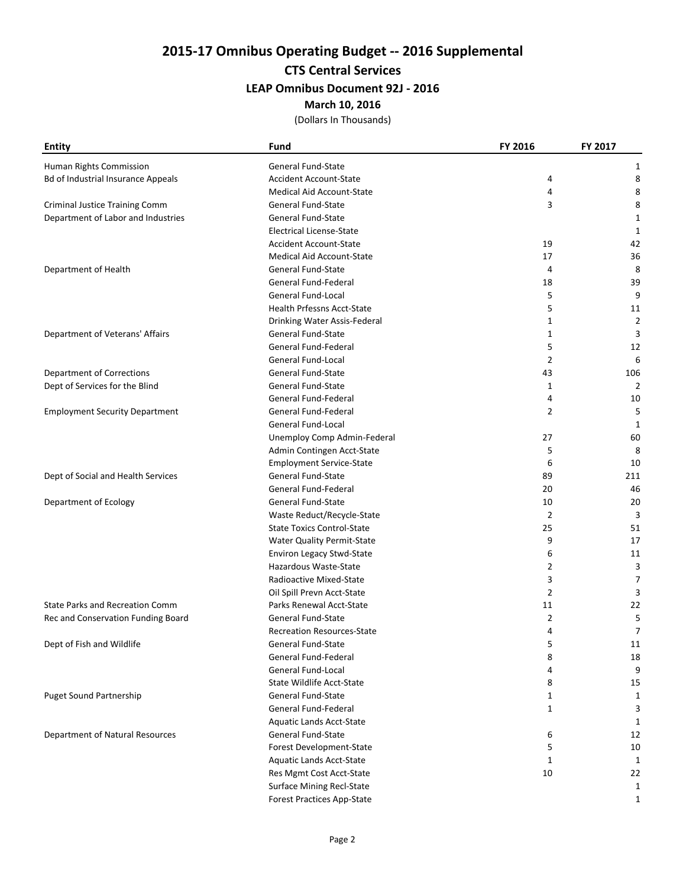2015-17 Omnibus Operating Budget -- 2016 Supplemental

CTS Central Services

LEAP Omnibus Document 92J - 2016

March 10, 2016

(Dollars In Thousands)

| <b>Entity</b>                             | Fund                              | FY 2016 | FY 2017 |
|-------------------------------------------|-----------------------------------|---------|---------|
| Human Rights Commission                   | <b>General Fund-State</b>         |         | 1       |
| <b>Bd of Industrial Insurance Appeals</b> | <b>Accident Account-State</b>     | 4       | 8       |
|                                           | <b>Medical Aid Account-State</b>  | 4       | 8       |
| <b>Criminal Justice Training Comm</b>     | General Fund-State                | 3       | 8       |
| Department of Labor and Industries        | <b>General Fund-State</b>         |         | 1       |
|                                           | <b>Electrical License-State</b>   |         | 1       |
|                                           | <b>Accident Account-State</b>     | 19      | 42      |
|                                           | Medical Aid Account-State         | 17      | 36      |
| Department of Health                      | General Fund-State                | 4       | 8       |
|                                           | General Fund-Federal              | 18      | 39      |
|                                           | <b>General Fund-Local</b>         | 5       | 9       |
|                                           | <b>Health Prfessns Acct-State</b> | 5       | 11      |
|                                           | Drinking Water Assis-Federal      | 1       | 2       |
| Department of Veterans' Affairs           | <b>General Fund-State</b>         | 1       | 3       |
|                                           | General Fund-Federal              | 5       | 12      |
|                                           | <b>General Fund-Local</b>         | 2       | 6       |
| <b>Department of Corrections</b>          | <b>General Fund-State</b>         | 43      | 106     |
| Dept of Services for the Blind            | <b>General Fund-State</b>         | 1       | 2       |
|                                           | General Fund-Federal              | 4       | 10      |
| <b>Employment Security Department</b>     | General Fund-Federal              | 2       | 5       |
|                                           | General Fund-Local                |         | 1       |
|                                           | Unemploy Comp Admin-Federal       | 27      | 60      |
|                                           | Admin Contingen Acct-State        | 5       | 8       |
|                                           | <b>Employment Service-State</b>   | 6       | 10      |
| Dept of Social and Health Services        | <b>General Fund-State</b>         | 89      | 211     |
|                                           | General Fund-Federal              | 20      | 46      |
| Department of Ecology                     | <b>General Fund-State</b>         | 10      | 20      |
|                                           | Waste Reduct/Recycle-State        | 2       | 3       |
|                                           | <b>State Toxics Control-State</b> | 25      | 51      |
|                                           | Water Quality Permit-State        | 9       | 17      |
|                                           | Environ Legacy Stwd-State         | 6       | 11      |
|                                           | Hazardous Waste-State             | 2       | 3       |
|                                           | Radioactive Mixed-State           | 3       | 7       |
|                                           | Oil Spill Prevn Acct-State        | 2       | 3       |
| <b>State Parks and Recreation Comm</b>    | Parks Renewal Acct-State          | 11      | 22      |
| Rec and Conservation Funding Board        | <b>General Fund-State</b>         | 2       | 5       |
|                                           | <b>Recreation Resources-State</b> | 4       | 7       |
| Dept of Fish and Wildlife                 | General Fund-State                | 5       | 11      |
|                                           | <b>General Fund-Federal</b>       | 8       | 18      |
|                                           | General Fund-Local                | 4       | 9       |
|                                           | <b>State Wildlife Acct-State</b>  | 8       | 15      |
| <b>Puget Sound Partnership</b>            | General Fund-State                | 1       | 1       |
|                                           | <b>General Fund-Federal</b>       | 1       | 3       |
|                                           | Aquatic Lands Acct-State          |         | 1       |
| <b>Department of Natural Resources</b>    | General Fund-State                | 6       | 12      |
|                                           | Forest Development-State          | 5       | 10      |
|                                           | Aquatic Lands Acct-State          | 1       | 1       |
|                                           | Res Mgmt Cost Acct-State          | 10      | 22      |
|                                           | Surface Mining Recl-State         |         | 1       |
|                                           | <b>Forest Practices App-State</b> |         | 1       |
|                                           |                                   |         |         |